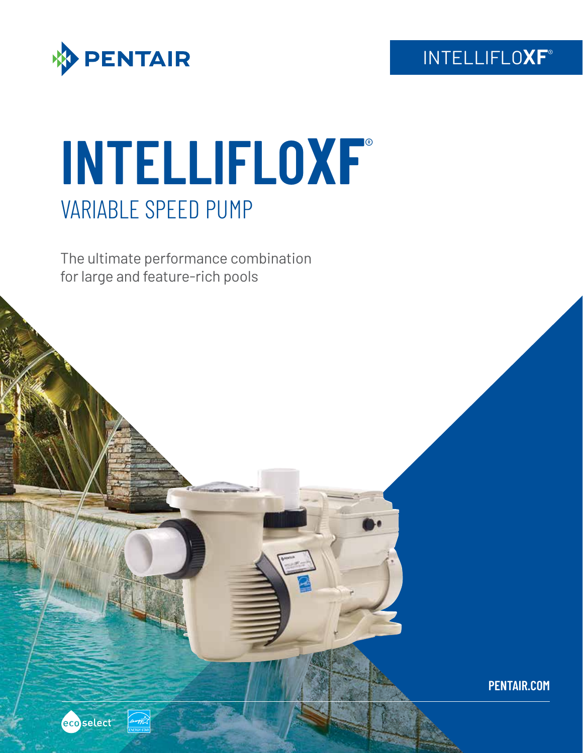

 $124047 -$ 

ecoselect

# **INTELLIFLOXF**® VARIABLE SPEED PUMP

The ultimate performance combination for large and feature-rich pools

### INTELLIFLO**XF**®

**PENTAIR.COM**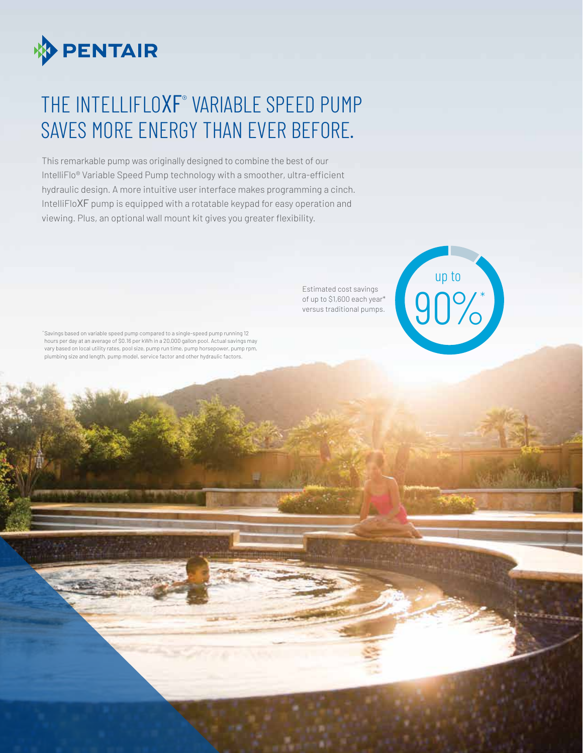

### THE INTELLIFLOXF° VARIABLE SPEED PUMP SAVES MORE ENERGY THAN EVER BEFORE.

This remarkable pump was originally designed to combine the best of our IntelliFlo® Variable Speed Pump technology with a smoother, ultra-efficient hydraulic design. A more intuitive user interface makes programming a cinch. IntelliFloXF pump is equipped with a rotatable keypad for easy operation and viewing. Plus, an optional wall mount kit gives you greater flexibility.

> Estimated cost savings of up to \$1,600 each year\*



\*Savings based on variable speed pump compared to a single-speed pump running 12 hours per day at an average of \$0.16 per kWh in a 20,000 gallon pool. Actual savings may vary based on local utility rates, pool size, pump run time, pump horsepower, pump rpm, plumbing size and length, pump model, service factor and other hydraulic factors.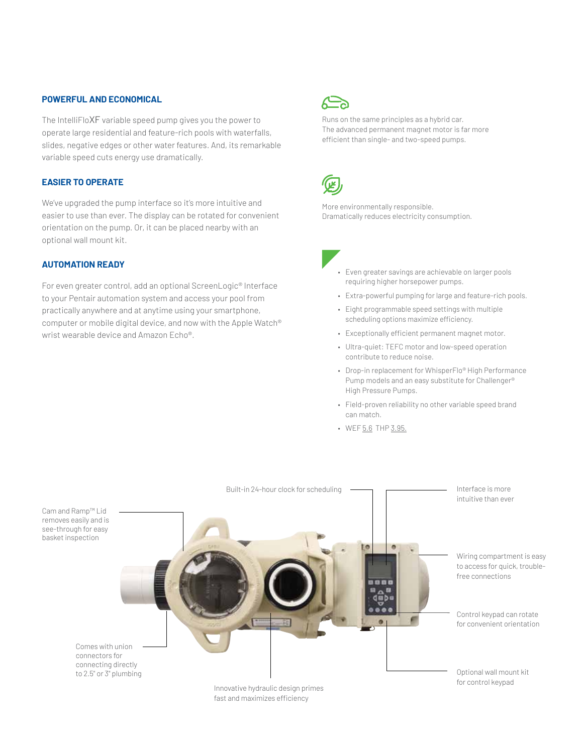#### **POWERFUL AND ECONOMICAL**

The IntelliFloXF variable speed pump gives you the power to operate large residential and feature-rich pools with waterfalls, slides, negative edges or other water features. And, its remarkable variable speed cuts energy use dramatically.

#### **EASIER TO OPERATE**

We've upgraded the pump interface so it's more intuitive and easier to use than ever. The display can be rotated for convenient orientation on the pump. Or, it can be placed nearby with an optional wall mount kit.

#### **AUTOMATION READY**

For even greater control, add an optional ScreenLogic® Interface to your Pentair automation system and access your pool from practically anywhere and at anytime using your smartphone, computer or mobile digital device, and now with the Apple Watch® wrist wearable device and Amazon Echo®.



Runs on the same principles as a hybrid car. The advanced permanent magnet motor is far more efficient than single- and two-speed pumps.



More environmentally responsible. Dramatically reduces electricity consumption.



- Extra-powerful pumping for large and feature-rich pools.
- Eight programmable speed settings with multiple scheduling options maximize efficiency.
- Exceptionally efficient permanent magnet motor.
- Ultra-quiet: TEFC motor and low-speed operation contribute to reduce noise.
- Drop-in replacement for WhisperFlo® High Performance Pump models and an easy substitute for Challenger® High Pressure Pumps.
- Field-proven reliability no other variable speed brand can match.
- WEF 5.6 THP 3.95.